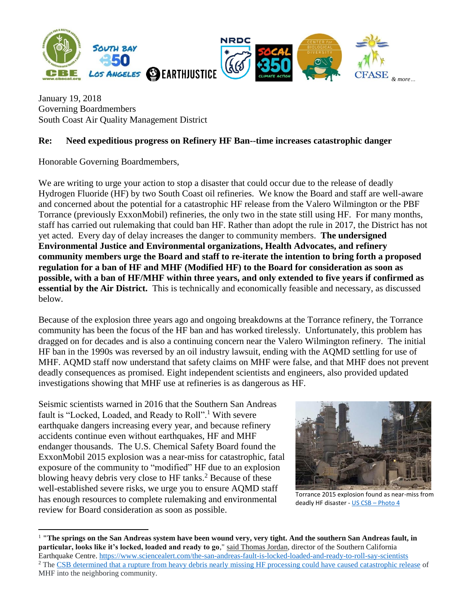

January 19, 2018 Governing Boardmembers South Coast Air Quality Management District

## **Re: Need expeditious progress on Refinery HF Ban--time increases catastrophic danger**

Honorable Governing Boardmembers,

We are writing to urge your action to stop a disaster that could occur due to the release of deadly Hydrogen Fluoride (HF) by two South Coast oil refineries. We know the Board and staff are well-aware and concerned about the potential for a catastrophic HF release from the Valero Wilmington or the PBF Torrance (previously ExxonMobil) refineries, the only two in the state still using HF. For many months, staff has carried out rulemaking that could ban HF. Rather than adopt the rule in 2017, the District has not yet acted. Every day of delay increases the danger to community members. **The undersigned Environmental Justice and Environmental organizations, Health Advocates, and refinery community members urge the Board and staff to re-iterate the intention to bring forth a proposed regulation for a ban of HF and MHF (Modified HF) to the Board for consideration as soon as possible, with a ban of HF/MHF within three years, and only extended to five years if confirmed as essential by the Air District.** This is technically and economically feasible and necessary, as discussed below.

Because of the explosion three years ago and ongoing breakdowns at the Torrance refinery, the Torrance community has been the focus of the HF ban and has worked tirelessly. Unfortunately, this problem has dragged on for decades and is also a continuing concern near the Valero Wilmington refinery. The initial HF ban in the 1990s was reversed by an oil industry lawsuit, ending with the AQMD settling for use of MHF. AQMD staff now understand that safety claims on MHF were false, and that MHF does not prevent deadly consequences as promised. Eight independent scientists and engineers, also provided updated investigations showing that MHF use at refineries is as dangerous as HF.

Seismic scientists warned in 2016 that the Southern San Andreas fault is "Locked, Loaded, and Ready to Roll".<sup>1</sup> With severe earthquake dangers increasing every year, and because refinery accidents continue even without earthquakes, HF and MHF endanger thousands. The U.S. Chemical Safety Board found the ExxonMobil 2015 explosion was a near-miss for catastrophic, fatal exposure of the community to "modified" HF due to an explosion blowing heavy debris very close to HF tanks.<sup>2</sup> Because of these well-established severe risks, we urge you to ensure AQMD staff has enough resources to complete rulemaking and environmental review for Board consideration as soon as possible.

 $\overline{a}$ 



Torrance 2015 explosion found as near-miss from deadly HF disaster - US CSB – [Photo 4](http://www.csb.gov/exxonmobil-refinery-explosion/)

<sup>&</sup>lt;sup>1</sup> "The springs on the San Andreas system have been wound very, very tight. And the southern San Andreas fault, in **particular, looks like it's locked, loaded and ready to go**," [said Thomas Jordan,](http://www.latimes.com/local/lanow/la-me-ln-san-andreas-fault-earthquake-20160504-story.html) director of the Southern California Earthquake Centre. <https://www.sciencealert.com/the-san-andreas-fault-is-locked-loaded-and-ready-to-roll-say-scientists> <sup>2</sup> The [CSB determined that a rupture from heavy debris nearly missing HF processing could have caused catastrophic release](http://www.csb.gov/us-chemical-safety-board-finds-multiple-safety-deficiencies-led-to-february-2015-explosion-and-serious-near-miss-at-the-exxon-mobil-refinery-in-torrance-california/) of MHF into the neighboring community.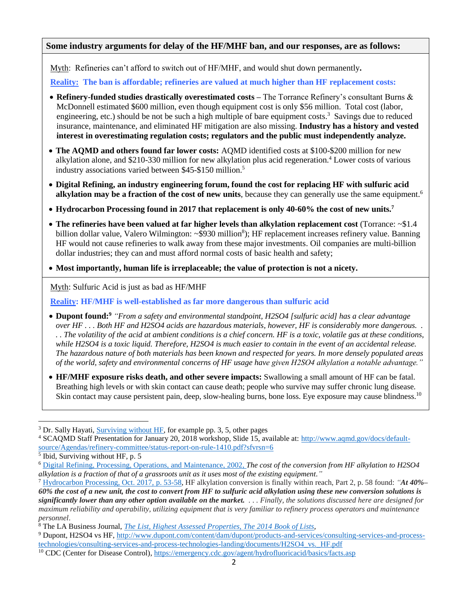## **Some industry arguments for delay of the HF/MHF ban, and our responses, are as follows:**

Myth: Refineries can't afford to switch out of HF/MHF, and would shut down permanently**.**

 **Reality: The ban is affordable; refineries are valued at much higher than HF replacement costs:** 

- **Refinery-funded studies drastically overestimated costs –** The Torrance Refinery's consultant Burns & McDonnell estimated \$600 million, even though equipment cost is only \$56 million. Total cost (labor, engineering, etc.) should be not be such a high multiple of bare equipment costs.<sup>3</sup> Savings due to reduced insurance, maintenance, and eliminated HF mitigation are also missing. **Industry has a history and vested interest in overestimating regulation costs; regulators and the public must independently analyze.**
- **The AQMD and others found far lower costs:** AQMD identified costs at \$100-\$200 million for new alkylation alone, and \$210-330 million for new alkylation plus acid regeneration.<sup>4</sup> Lower costs of various industry associations varied between \$45-\$150 million.<sup>5</sup>
- **Digital Refining, an industry engineering forum, found the cost for replacing HF with sulfuric acid alkylation may be a fraction of the cost of new units**, because they can generally use the same equipment.<sup>6</sup>
- **Hydrocarbon Processing found in 2017 that replacement is only 40-60% the cost of new units.<sup>7</sup>**
- The refineries have been valued at far higher levels than alkylation replacement cost (Torrance:  $\sim$ \$1.4 billion dollar value, Valero Wilmington: ~\$930 million<sup>8</sup>); HF replacement increases refinery value. Banning HF would not cause refineries to walk away from these major investments. Oil companies are multi-billion dollar industries; they can and must afford normal costs of basic health and safety;
- **Most importantly, human life is irreplaceable; the value of protection is not a nicety.**

Myth: Sulfuric Acid is just as bad as HF/MHF

 **Reality: HF/MHF is well-established as far more dangerous than sulfuric acid**

- **Dupont found:<sup>9</sup>** *"From a safety and environmental standpoint, H2SO4 [sulfuric acid] has a clear advantage over HF . . . Both HF and H2SO4 acids are hazardous materials, however, HF is considerably more dangerous. . . . The volatility of the acid at ambient conditions is a chief concern. HF is a toxic, volatile gas at these conditions, while H2SO4 is a toxic liquid. Therefore, H2SO4 is much easier to contain in the event of an accidental release. The hazardous nature of both materials has been known and respected for years. In more densely populated areas of the world, safety and environmental concerns of HF usage have given H2SO4 alkylation a notable advantage."*
- **HF/MHF exposure risks death, and other severe impacts:** Swallowing a small amount of HF can be fatal. Breathing high levels or with skin contact can cause death; people who survive may suffer chronic lung disease. Skin contact may cause persistent pain, deep, slow-healing burns, bone loss. Eye exposure may cause blindness.<sup>10</sup>

 $\overline{a}$ 

<sup>&</sup>lt;sup>3</sup> Dr. Sally Hayati, [Surviving without HF,](https://drive.google.com/file/d/0B0sm-0cQ1vDqZ3dQaHF1RUY5UVk/view) for example pp. 3, 5, other pages

<sup>4</sup> SCAQMD Staff Presentation for January 20, 2018 workshop, Slide 15, available at: [http://www.aqmd.gov/docs/default](http://www.aqmd.gov/docs/default-source/Agendas/refinery-committee/status-report-on-rule-1410.pdf?sfvrsn=6)[source/Agendas/refinery-committee/status-report-on-rule-1410.pdf?sfvrsn=6](http://www.aqmd.gov/docs/default-source/Agendas/refinery-committee/status-report-on-rule-1410.pdf?sfvrsn=6)

<sup>&</sup>lt;sup>5</sup> Ibid, Surviving without HF, p. 5

<sup>6</sup> [Digital Refining, Processing, Operations, and Maintenance, 2002,](http://www.digitalrefining.com/article/1000242,A_flexible_approach_to_refinery_olefin_alkylation.html#.WmD3wKinHIU) *The cost of the conversion from HF alkylation to H2SO4 alkylation is a fraction of that of a grassroots unit as it uses most of the existing equipment."*

<sup>7</sup> [Hydrocarbon Processing, Oct. 2017, p. 53-58,](https://www.scribd.com/document/365895307/Hydrocarbon-Processing-October-2017) HF alkylation conversion is finally within reach, Part 2, p. 58 found: *"At 40%–* 60% the cost of a new unit, the cost to convert from HF to sulfuric acid alkylation using these new conversion solutions is significantly lower than any other option available on the market. ... Finally, the solutions discussed here are designed for maximum reliability and operability, utilizing equipment that is very familiar to refinery process operators and maintenance *personnel*.

<sup>8</sup> The LA Business Journal, *[The List, Highest Assessed Properties, The 2014](http://www.cbjonline.com/a2labj/lists/2013-Assessed-Properties.pdf) Book of Lists,*

<sup>9</sup> Dupont, H2SO4 vs HF, [http://www.dupont.com/content/dam/dupont/products-and-services/consulting-services-and-process](http://www.dupont.com/content/dam/dupont/products-and-services/consulting-services-and-process-technologies/consulting-services-and-process-technologies-landing/documents/H2SO4_vs._HF.pdf)[technologies/consulting-services-and-process-technologies-landing/documents/H2SO4\\_vs.\\_HF.pdf](http://www.dupont.com/content/dam/dupont/products-and-services/consulting-services-and-process-technologies/consulting-services-and-process-technologies-landing/documents/H2SO4_vs._HF.pdf)

<sup>10</sup> CDC (Center for Disease Control)[, https://emergency.cdc.gov/agent/hydrofluoricacid/basics/facts.asp](https://emergency.cdc.gov/agent/hydrofluoricacid/basics/facts.asp)